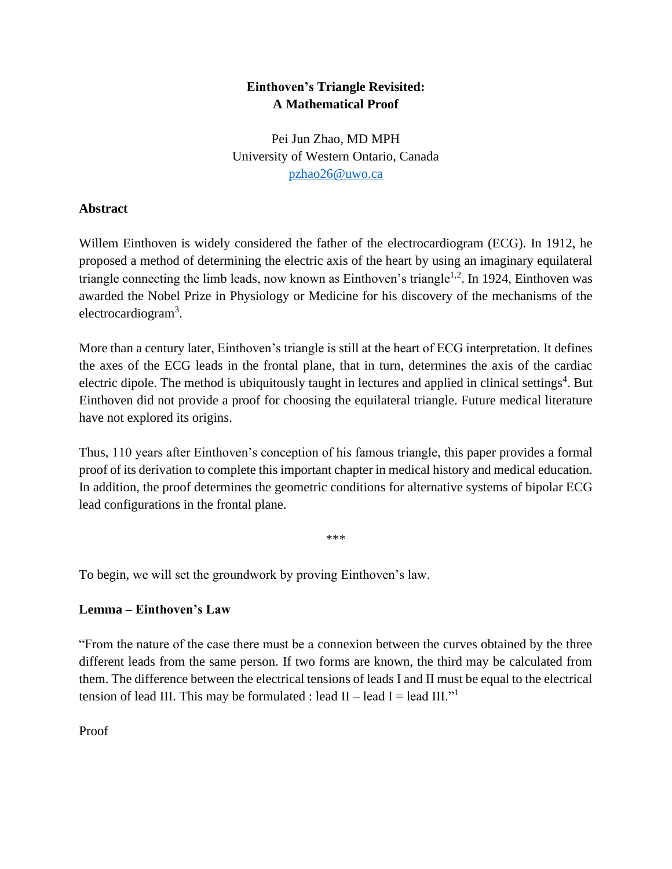# **Einthoven's Triangle Revisited: A Mathematical Proof**

Pei Jun Zhao, MD MPH University of Western Ontario, Canada [pzhao26@uwo.ca](mailto:pzhao26@uwo.ca)

## **Abstract**

Willem Einthoven is widely considered the father of the electrocardiogram (ECG). In 1912, he proposed a method of determining the electric axis of the heart by using an imaginary equilateral triangle connecting the limb leads, now known as Einthoven's triangle<sup>1,2</sup>. In 1924, Einthoven was awarded the Nobel Prize in Physiology or Medicine for his discovery of the mechanisms of the electrocardiogram<sup>3</sup>.

More than a century later, Einthoven's triangle is still at the heart of ECG interpretation. It defines the axes of the ECG leads in the frontal plane, that in turn, determines the axis of the cardiac electric dipole. The method is ubiquitously taught in lectures and applied in clinical settings<sup>4</sup>. But Einthoven did not provide a proof for choosing the equilateral triangle. Future medical literature have not explored its origins.

Thus, 110 years after Einthoven's conception of his famous triangle, this paper provides a formal proof of its derivation to complete this important chapter in medical history and medical education. In addition, the proof determines the geometric conditions for alternative systems of bipolar ECG lead configurations in the frontal plane.

\*\*\*

To begin, we will set the groundwork by proving Einthoven's law.

## **Lemma – Einthoven's Law**

"From the nature of the case there must be a connexion between the curves obtained by the three different leads from the same person. If two forms are known, the third may be calculated from them. The difference between the electrical tensions of leads I and II must be equal to the electrical tension of lead III. This may be formulated : lead II – lead I = lead III."<sup>1</sup>

Proof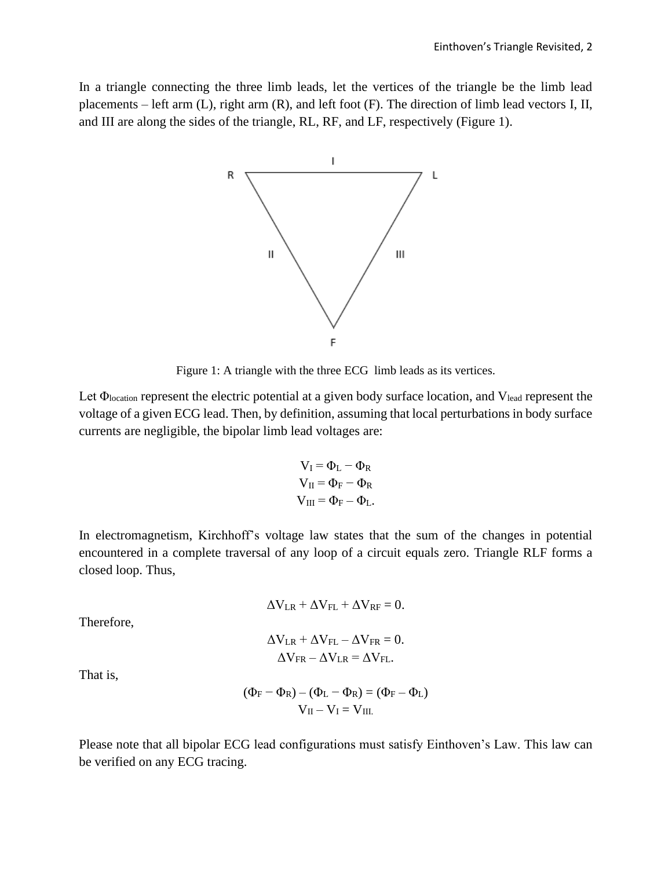In a triangle connecting the three limb leads, let the vertices of the triangle be the limb lead placements – left arm (L), right arm (R), and left foot (F). The direction of limb lead vectors I, II, and III are along the sides of the triangle, RL, RF, and LF, respectively (Figure 1).



Figure 1: A triangle with the three ECG limb leads as its vertices.

Let Φlocation represent the electric potential at a given body surface location, and Vlead represent the voltage of a given ECG lead. Then, by definition, assuming that local perturbations in body surface currents are negligible, the bipolar limb lead voltages are:

$$
V_I = \Phi_L - \Phi_R
$$
  
\n
$$
V_{II} = \Phi_F - \Phi_R
$$
  
\n
$$
V_{III} = \Phi_F - \Phi_L.
$$

In electromagnetism, Kirchhoff's voltage law states that the sum of the changes in potential encountered in a complete traversal of any loop of a circuit equals zero. Triangle RLF forms a closed loop. Thus,

$$
\Delta V_{LR} + \Delta V_{FL} + \Delta V_{RF} = 0.
$$

Therefore,

$$
\Delta V_{LR} + \Delta V_{FL} - \Delta V_{FR} = 0.
$$
  

$$
\Delta V_{FR} - \Delta V_{LR} = \Delta V_{FL}.
$$

That is,

$$
(\Phi_F - \Phi_R) - (\Phi_L - \Phi_R) = (\Phi_F - \Phi_L)
$$
  

$$
V_{II} - V_I = V_{III.}
$$

Please note that all bipolar ECG lead configurations must satisfy Einthoven's Law. This law can be verified on any ECG tracing.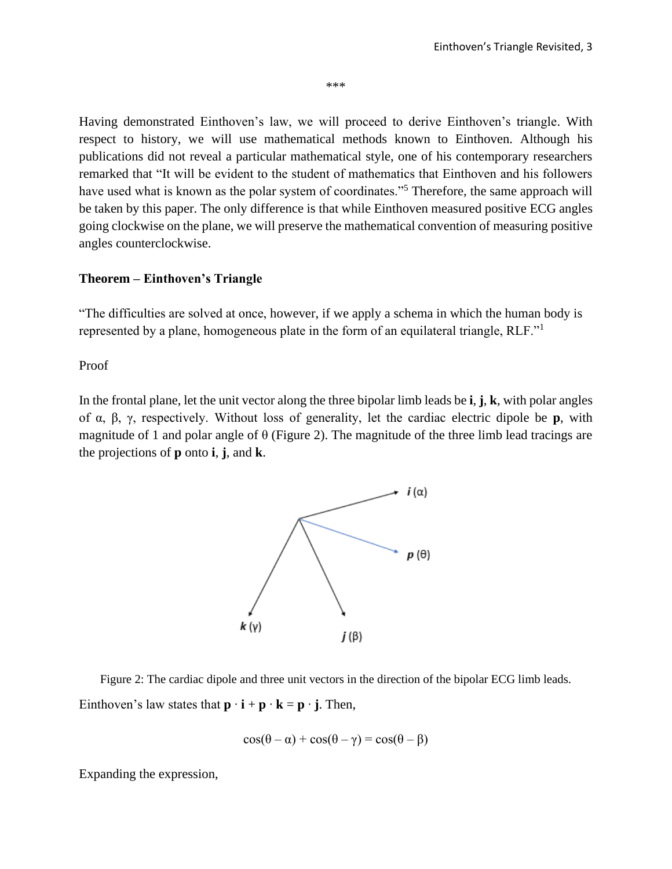\*\*\*

Having demonstrated Einthoven's law, we will proceed to derive Einthoven's triangle. With respect to history, we will use mathematical methods known to Einthoven. Although his publications did not reveal a particular mathematical style, one of his contemporary researchers remarked that "It will be evident to the student of mathematics that Einthoven and his followers have used what is known as the polar system of coordinates."<sup>5</sup> Therefore, the same approach will be taken by this paper. The only difference is that while Einthoven measured positive ECG angles going clockwise on the plane, we will preserve the mathematical convention of measuring positive angles counterclockwise.

#### **Theorem – Einthoven's Triangle**

"The difficulties are solved at once, however, if we apply a schema in which the human body is represented by a plane, homogeneous plate in the form of an equilateral triangle, RLF."<sup>1</sup>

Proof

In the frontal plane, let the unit vector along the three bipolar limb leads be **i**, **j**, **k**, with polar angles of α, β, γ, respectively. Without loss of generality, let the cardiac electric dipole be **p**, with magnitude of 1 and polar angle of  $\theta$  (Figure 2). The magnitude of the three limb lead tracings are the projections of **p** onto **i**, **j**, and **k**.



Figure 2: The cardiac dipole and three unit vectors in the direction of the bipolar ECG limb leads. Einthoven's law states that  $\mathbf{p} \cdot \mathbf{i} + \mathbf{p} \cdot \mathbf{k} = \mathbf{p} \cdot \mathbf{j}$ . Then,

$$
\cos(\theta - \alpha) + \cos(\theta - \gamma) = \cos(\theta - \beta)
$$

Expanding the expression,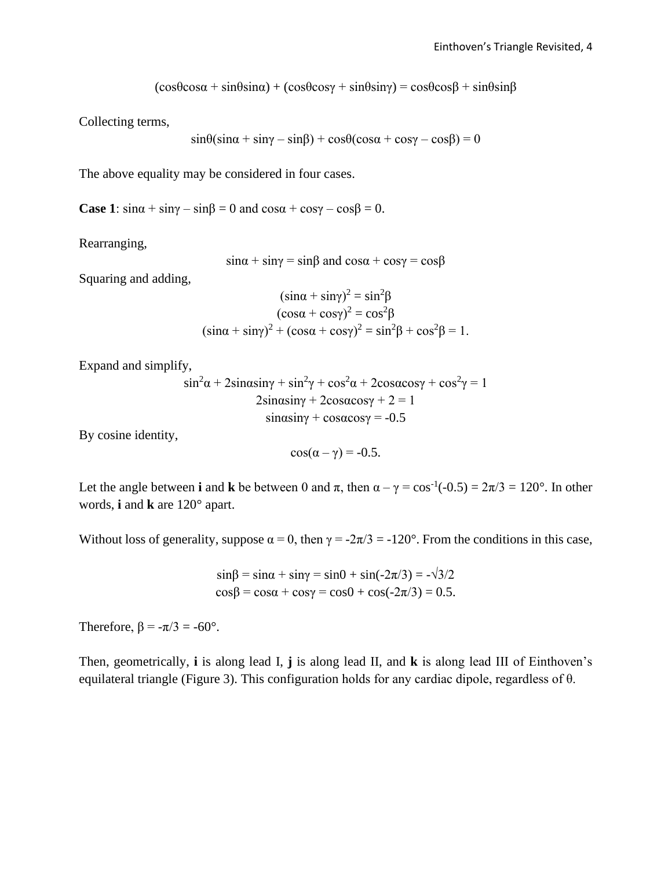$(cos \theta cos \alpha + sin \theta sin \alpha) + (cos \theta cos \gamma + sin \theta sin \gamma) = cos \theta cos \beta + sin \theta sin \beta$ 

Collecting terms,

$$
\sin\theta(\sin\alpha + \sin\gamma - \sin\beta) + \cos\theta(\cos\alpha + \cos\gamma - \cos\beta) = 0
$$

The above equality may be considered in four cases.

**Case 1**:  $\sin \alpha + \sin \gamma - \sin \beta = 0$  and  $\cos \alpha + \cos \gamma - \cos \beta = 0$ .

Rearranging,

$$
\sin\alpha + \sin\gamma = \sin\beta \text{ and } \cos\alpha + \cos\gamma = \cos\beta
$$

Squaring and adding,

$$
(\sin\alpha + \sin\gamma)^2 = \sin^2\beta
$$
  
\n
$$
(\cos\alpha + \cos\gamma)^2 = \cos^2\beta
$$
  
\n
$$
(\sin\alpha + \sin\gamma)^2 + (\cos\alpha + \cos\gamma)^2 = \sin^2\beta + \cos^2\beta = 1.
$$

Expand and simplify,

$$
\sin^2\alpha + 2\sin\alpha \sin\gamma + \sin^2\gamma + \cos^2\alpha + 2\cos\alpha \cos\gamma + \cos^2\gamma = 1
$$
  
2sin\alpha \sin\gamma + 2cos\alpha \cos\gamma + 2 = 1  
sin\alpha \sin\gamma + cos\alpha \cos\gamma = -0.5

By cosine identity,

$$
\cos(\alpha-\gamma) = -0.5.
$$

Let the angle between **i** and **k** be between 0 and  $\pi$ , then  $\alpha - \gamma = \cos^{-1}(-0.5) = 2\pi/3 = 120^{\circ}$ . In other words, **i** and **k** are 120° apart.

Without loss of generality, suppose  $\alpha = 0$ , then  $\gamma = -2\pi/3 = -120^{\circ}$ . From the conditions in this case,

sinβ = sin $\alpha$  + sin $\gamma$  = sin $0$  + sin(-2 $\pi$ /3) = - $\sqrt{3}/2$  $cosβ = cosα + cosγ = cos0 + cos(-2π/3) = 0.5.$ 

Therefore,  $\beta = -\pi/3 = -60^{\circ}$ .

Then, geometrically, **i** is along lead I, **j** is along lead II, and **k** is along lead III of Einthoven's equilateral triangle (Figure 3). This configuration holds for any cardiac dipole, regardless of θ.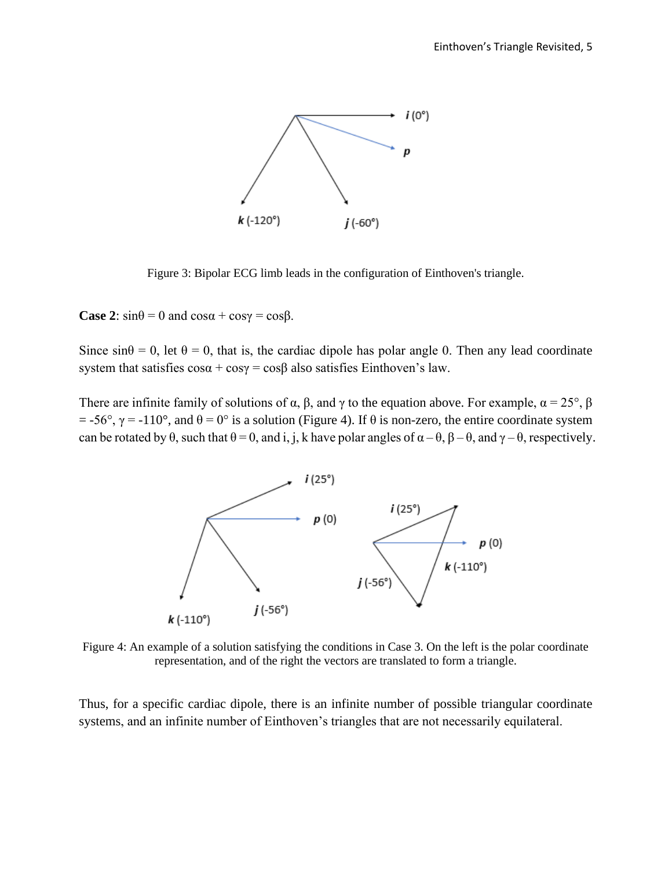

Figure 3: Bipolar ECG limb leads in the configuration of Einthoven's triangle.

**Case 2**:  $\sin\theta = 0$  and  $\cos\alpha + \cos\gamma = \cos\beta$ .

Since  $\sin\theta = 0$ , let  $\theta = 0$ , that is, the cardiac dipole has polar angle 0. Then any lead coordinate system that satisfies  $\cos\alpha + \cos\gamma = \cos\beta$  also satisfies Einthoven's law.

There are infinite family of solutions of  $\alpha$ ,  $\beta$ , and  $\gamma$  to the equation above. For example,  $\alpha = 25^{\circ}$ ,  $\beta$  $=$  -56°,  $\gamma$  = -110°, and  $\theta$  = 0° is a solution (Figure 4). If  $\theta$  is non-zero, the entire coordinate system can be rotated by  $\theta$ , such that  $\theta = 0$ , and i, j, k have polar angles of  $\alpha - \theta$ ,  $\beta - \theta$ , and  $\gamma - \theta$ , respectively.



Figure 4: An example of a solution satisfying the conditions in Case 3. On the left is the polar coordinate representation, and of the right the vectors are translated to form a triangle.

Thus, for a specific cardiac dipole, there is an infinite number of possible triangular coordinate systems, and an infinite number of Einthoven's triangles that are not necessarily equilateral.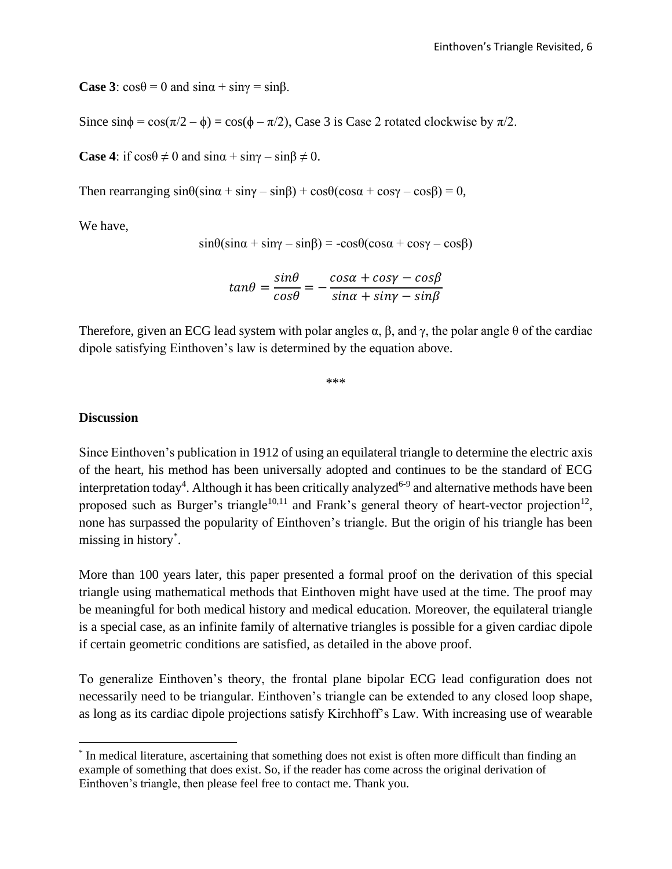**Case 3**:  $\cos\theta = 0$  and  $\sin\alpha + \sin\gamma = \sin\beta$ .

Since  $\sin\phi = \cos(\pi/2 - \phi) = \cos(\phi - \pi/2)$ , Case 3 is Case 2 rotated clockwise by  $\pi/2$ .

**Case 4:** if  $\cos\theta \neq 0$  and  $\sin\alpha + \sin\gamma - \sin\beta \neq 0$ .

Then rearranging  $sin\theta(sin\alpha + sin\gamma - sin\beta) + cos\theta(cos\alpha + cos\gamma - cos\beta) = 0$ ,

We have,

$$
\sin\theta(\sin\alpha + \sin\gamma - \sin\beta) = -\cos\theta(\cos\alpha + \cos\gamma - \cos\beta)
$$

$$
tan\theta = \frac{sin\theta}{cos\theta} = -\frac{cos\alpha + cos\gamma - cos\beta}{sin\alpha + sin\gamma - sin\beta}
$$

Therefore, given an ECG lead system with polar angles  $\alpha$ ,  $\beta$ , and  $\gamma$ , the polar angle  $\theta$  of the cardiac dipole satisfying Einthoven's law is determined by the equation above.

\*\*\*

### **Discussion**

Since Einthoven's publication in 1912 of using an equilateral triangle to determine the electric axis of the heart, his method has been universally adopted and continues to be the standard of ECG interpretation today<sup>4</sup>. Although it has been critically analyzed<sup>6-9</sup> and alternative methods have been proposed such as Burger's triangle<sup>10,11</sup> and Frank's general theory of heart-vector projection<sup>12</sup>, none has surpassed the popularity of Einthoven's triangle. But the origin of his triangle has been missing in history\* .

More than 100 years later, this paper presented a formal proof on the derivation of this special triangle using mathematical methods that Einthoven might have used at the time. The proof may be meaningful for both medical history and medical education. Moreover, the equilateral triangle is a special case, as an infinite family of alternative triangles is possible for a given cardiac dipole if certain geometric conditions are satisfied, as detailed in the above proof.

To generalize Einthoven's theory, the frontal plane bipolar ECG lead configuration does not necessarily need to be triangular. Einthoven's triangle can be extended to any closed loop shape, as long as its cardiac dipole projections satisfy Kirchhoff's Law. With increasing use of wearable

<sup>\*</sup> In medical literature, ascertaining that something does not exist is often more difficult than finding an example of something that does exist. So, if the reader has come across the original derivation of Einthoven's triangle, then please feel free to contact me. Thank you.